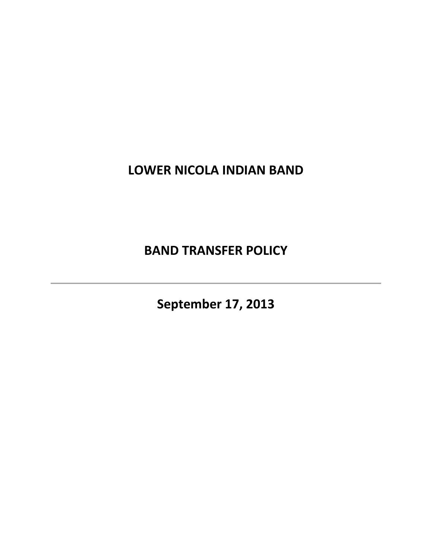# **LOWER NICOLA INDIAN BAND**

**BAND TRANSFER POLICY**

**September 17, 2013**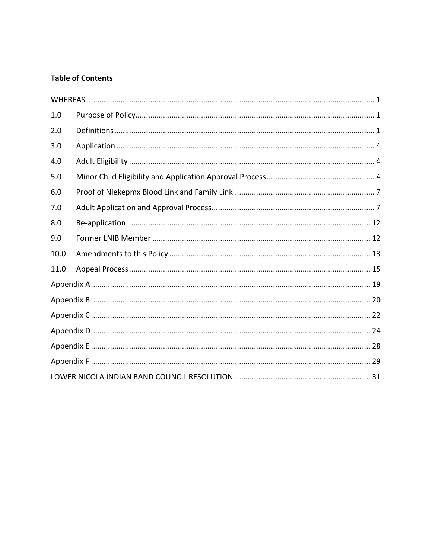#### **Table of Contents**

| 1.0  |  |  |  |  |
|------|--|--|--|--|
| 2.0  |  |  |  |  |
| 3.0  |  |  |  |  |
| 4.0  |  |  |  |  |
| 5.0  |  |  |  |  |
| 6.0  |  |  |  |  |
| 7.0  |  |  |  |  |
| 8.0  |  |  |  |  |
| 9.0  |  |  |  |  |
| 10.0 |  |  |  |  |
| 11.0 |  |  |  |  |
|      |  |  |  |  |
|      |  |  |  |  |
|      |  |  |  |  |
|      |  |  |  |  |
|      |  |  |  |  |
|      |  |  |  |  |
|      |  |  |  |  |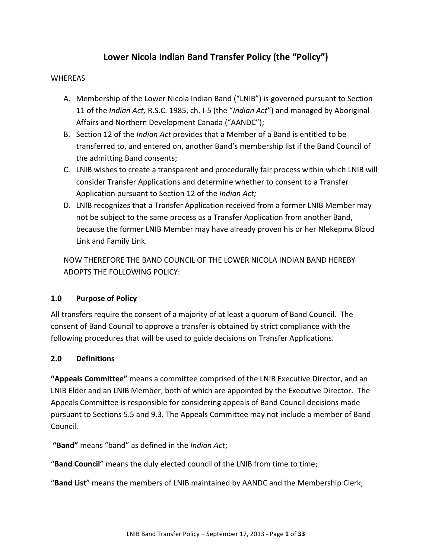## **Lower Nicola Indian Band Transfer Policy (the "Policy")**

#### <span id="page-2-0"></span>**WHEREAS**

- A. Membership of the Lower Nicola Indian Band ("LNIB") is governed pursuant to Section 11 of the *Indian Act,* R.S.C. 1985, ch. I-5 (the "*Indian Act*") and managed by Aboriginal Affairs and Northern Development Canada ("AANDC");
- B. Section 12 of the *Indian Act* provides that a Member of a Band is entitled to be transferred to, and entered on, another Band's membership list if the Band Council of the admitting Band consents;
- C. LNIB wishes to create a transparent and procedurally fair process within which LNIB will consider Transfer Applications and determine whether to consent to a Transfer Application pursuant to Section 12 of the *Indian Act;*
- D. LNIB recognizes that a Transfer Application received from a former LNIB Member may not be subject to the same process as a Transfer Application from another Band, because the former LNIB Member may have already proven his or her Nlekepmx Blood Link and Family Link.

NOW THEREFORE THE BAND COUNCIL OF THE LOWER NICOLA INDIAN BAND HEREBY ADOPTS THE FOLLOWING POLICY:

#### <span id="page-2-1"></span>**1.0 Purpose of Policy**

All transfers require the consent of a majority of at least a quorum of Band Council. The consent of Band Council to approve a transfer is obtained by strict compliance with the following procedures that will be used to guide decisions on Transfer Applications.

#### <span id="page-2-2"></span>**2.0 Definitions**

**"Appeals Committee"** means a committee comprised of the LNIB Executive Director, and an LNIB Elder and an LNIB Member, both of which are appointed by the Executive Director. The Appeals Committee is responsible for considering appeals of Band Council decisions made pursuant to Sections 5.5 and 9.3. The Appeals Committee may not include a member of Band Council.

**"Band"** means "band" as defined in the *Indian Act*;

"**Band Council**" means the duly elected council of the LNIB from time to time;

"**Band List**" means the members of LNIB maintained by AANDC and the Membership Clerk;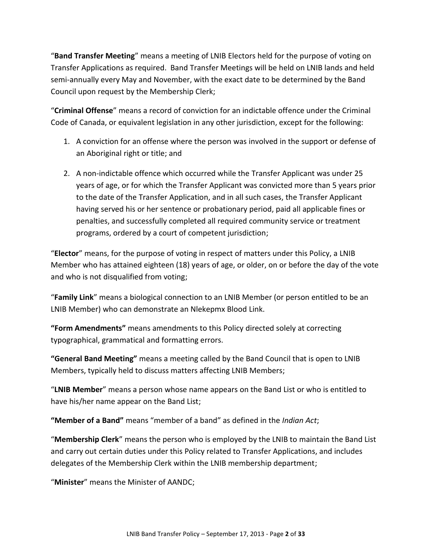"**Band Transfer Meeting**" means a meeting of LNIB Electors held for the purpose of voting on Transfer Applications as required. Band Transfer Meetings will be held on LNIB lands and held semi-annually every May and November, with the exact date to be determined by the Band Council upon request by the Membership Clerk;

"**Criminal Offense**" means a record of conviction for an indictable offence under the Criminal Code of Canada, or equivalent legislation in any other jurisdiction, except for the following:

- 1. A conviction for an offense where the person was involved in the support or defense of an Aboriginal right or title; and
- 2. A non-indictable offence which occurred while the Transfer Applicant was under 25 years of age, or for which the Transfer Applicant was convicted more than 5 years prior to the date of the Transfer Application, and in all such cases, the Transfer Applicant having served his or her sentence or probationary period, paid all applicable fines or penalties, and successfully completed all required community service or treatment programs, ordered by a court of competent jurisdiction;

"**Elector**" means, for the purpose of voting in respect of matters under this Policy, a LNIB Member who has attained eighteen (18) years of age, or older, on or before the day of the vote and who is not disqualified from voting;

"**Family Link**" means a biological connection to an LNIB Member (or person entitled to be an LNIB Member) who can demonstrate an Nlekepmx Blood Link.

**"Form Amendments"** means amendments to this Policy directed solely at correcting typographical, grammatical and formatting errors.

**"General Band Meeting"** means a meeting called by the Band Council that is open to LNIB Members, typically held to discuss matters affecting LNIB Members;

"**LNIB Member**" means a person whose name appears on the Band List or who is entitled to have his/her name appear on the Band List;

**"Member of a Band"** means "member of a band" as defined in the *Indian Act*;

"**Membership Clerk**" means the person who is employed by the LNIB to maintain the Band List and carry out certain duties under this Policy related to Transfer Applications, and includes delegates of the Membership Clerk within the LNIB membership department;

"**Minister**" means the Minister of AANDC;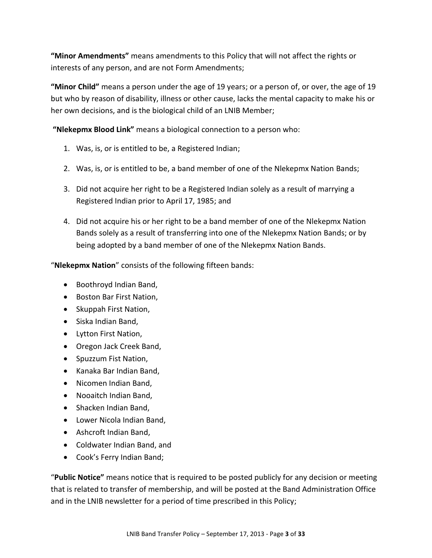**"Minor Amendments"** means amendments to this Policy that will not affect the rights or interests of any person, and are not Form Amendments;

**"Minor Child"** means a person under the age of 19 years; or a person of, or over, the age of 19 but who by reason of disability, illness or other cause, lacks the mental capacity to make his or her own decisions, and is the biological child of an LNIB Member;

**"Nlekepmx Blood Link"** means a biological connection to a person who:

- 1. Was, is, or is entitled to be, a Registered Indian;
- 2. Was, is, or is entitled to be, a band member of one of the Nlekepmx Nation Bands;
- 3. Did not acquire her right to be a Registered Indian solely as a result of marrying a Registered Indian prior to April 17, 1985; and
- 4. Did not acquire his or her right to be a band member of one of the Nlekepmx Nation Bands solely as a result of transferring into one of the Nlekepmx Nation Bands; or by being adopted by a band member of one of the Nlekepmx Nation Bands.

"**Nlekepmx Nation**" consists of the following fifteen bands:

- Boothroyd Indian Band,
- Boston Bar First Nation,
- Skuppah First Nation,
- Siska Indian Band,
- Lytton First Nation,
- Oregon Jack Creek Band,
- Spuzzum Fist Nation,
- Kanaka Bar Indian Band,
- Nicomen Indian Band,
- Nooaitch Indian Band,
- Shacken Indian Band.
- Lower Nicola Indian Band,
- Ashcroft Indian Band,
- Coldwater Indian Band, and
- Cook's Ferry Indian Band;

"**Public Notice"** means notice that is required to be posted publicly for any decision or meeting that is related to transfer of membership, and will be posted at the Band Administration Office and in the LNIB newsletter for a period of time prescribed in this Policy;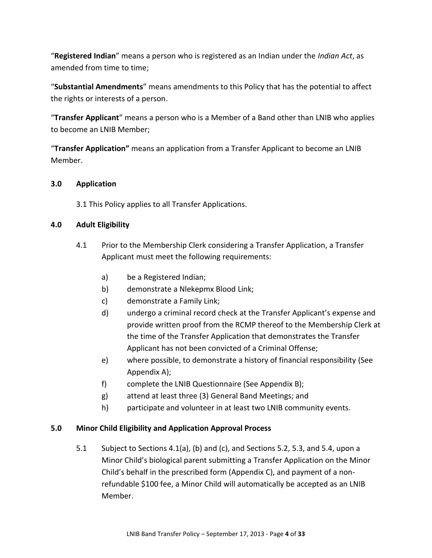"**Registered Indian**" means a person who is registered as an Indian under the *Indian Act*, as amended from time to time;

"**Substantial Amendments**" means amendments to this Policy that has the potential to affect the rights or interests of a person.

"**Transfer Applicant**" means a person who is a Member of a Band other than LNIB who applies to become an LNIB Member;

"**Transfer Application"** means an application from a Transfer Applicant to become an LNIB Member.

#### **3.0 Application**

<span id="page-5-0"></span>3.1 This Policy applies to all Transfer Applications.

#### <span id="page-5-3"></span><span id="page-5-1"></span>**4.0 Adult Eligibility**

- 4.1 Prior to the Membership Clerk considering a Transfer Application, a Transfer Applicant must meet the following requirements:
	- a) be a Registered Indian;
	- b) demonstrate a Nlekepmx Blood Link;
	- c) demonstrate a Family Link;
	- d) undergo a criminal record check at the Transfer Applicant's expense and provide written proof from the RCMP thereof to the Membership Clerk at the time of the Transfer Application that demonstrates the Transfer Applicant has not been convicted of a Criminal Offense;
	- e) where possible, to demonstrate a history of financial responsibility (See Appendix A);
	- f) complete the LNIB Questionnaire (See Appendix B);
	- g) attend at least three (3) General Band Meetings; and
	- h) participate and volunteer in at least two LNIB community events.

#### <span id="page-5-2"></span>**5.0 Minor Child Eligibility and Application Approval Process**

5.1 Subject to Sections 4.1(a), (b) and (c), and Sections [5.2,](#page-6-0) [5.3,](#page-6-1) and [5.4,](#page-6-2) upon a Minor Child's biological parent submitting a Transfer Application on the Minor Child's behalf in the prescribed form (Appendix C), and payment of a nonrefundable \$100 fee, a Minor Child will automatically be accepted as an LNIB Member.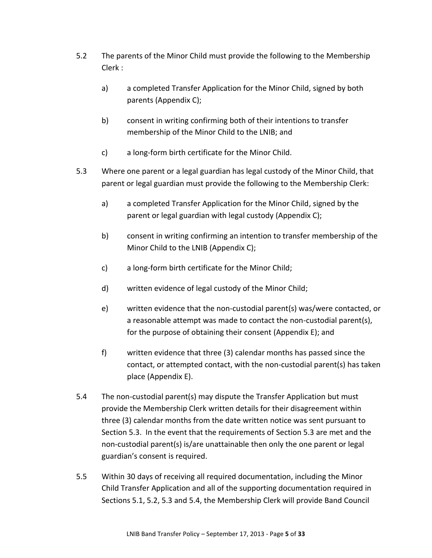- <span id="page-6-0"></span>5.2 The parents of the Minor Child must provide the following to the Membership Clerk :
	- a) a completed Transfer Application for the Minor Child, signed by both parents (Appendix C);
	- b) consent in writing confirming both of their intentions to transfer membership of the Minor Child to the LNIB; and
	- c) a long-form birth certificate for the Minor Child.
- <span id="page-6-1"></span>5.3 Where one parent or a legal guardian has legal custody of the Minor Child, that parent or legal guardian must provide the following to the Membership Clerk:
	- a) a completed Transfer Application for the Minor Child, signed by the parent or legal guardian with legal custody (Appendix C);
	- b) consent in writing confirming an intention to transfer membership of the Minor Child to the LNIB (Appendix C);
	- c) a long-form birth certificate for the Minor Child;
	- d) written evidence of legal custody of the Minor Child;
	- e) written evidence that the non-custodial parent(s) was/were contacted, or a reasonable attempt was made to contact the non-custodial parent(s), for the purpose of obtaining their consent (Appendix E); and
	- f) written evidence that three (3) calendar months has passed since the contact, or attempted contact, with the non-custodial parent(s) has taken place (Appendix E).
- <span id="page-6-2"></span>5.4 The non-custodial parent(s) may dispute the Transfer Application but must provide the Membership Clerk written details for their disagreement within three (3) calendar months from the date written notice was sent pursuant to Section 5.3. In the event that the requirements of Section [5.3](#page-6-1) are met and the non-custodial parent(s) is/are unattainable then only the one parent or legal guardian's consent is required.
- 5.5 Within 30 days of receiving all required documentation, including the Minor Child Transfer Application and all of the supporting documentation required in Sections 5.1, 5.2, 5.3 and 5.4, the Membership Clerk will provide Band Council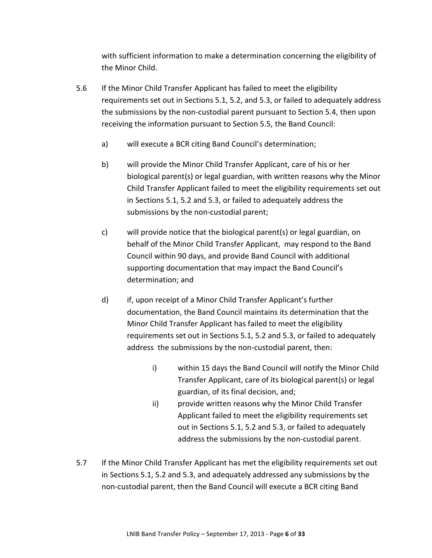with sufficient information to make a determination concerning the eligibility of the Minor Child.

- 5.6 If the Minor Child Transfer Applicant has failed to meet the eligibility requirements set out in Sections 5.1, 5.2, and 5.3, or failed to adequately address the submissions by the non-custodial parent pursuant to Section 5.4, then upon receiving the information pursuant to Section 5.5, the Band Council:
	- a) will execute a BCR citing Band Council's determination;
	- b) will provide the Minor Child Transfer Applicant, care of his or her biological parent(s) or legal guardian, with written reasons why the Minor Child Transfer Applicant failed to meet the eligibility requirements set out in Sections 5.1, 5.2 and 5.3, or failed to adequately address the submissions by the non-custodial parent;
	- c) will provide notice that the biological parent(s) or legal guardian, on behalf of the Minor Child Transfer Applicant, may respond to the Band Council within 90 days, and provide Band Council with additional supporting documentation that may impact the Band Council's determination; and
	- d) if, upon receipt of a Minor Child Transfer Applicant's further documentation, the Band Council maintains its determination that the Minor Child Transfer Applicant has failed to meet the eligibility requirements set out in Sections 5.1, 5.2 and 5.3, or failed to adequately address the submissions by the non-custodial parent, then:
		- i) within 15 days the Band Council will notify the Minor Child Transfer Applicant, care of its biological parent(s) or legal guardian, of its final decision, and;
		- ii) provide written reasons why the Minor Child Transfer Applicant failed to meet the eligibility requirements set out in Sections 5.1, 5.2 and 5.3, or failed to adequately address the submissions by the non-custodial parent.
- 5.7 If the Minor Child Transfer Applicant has met the eligibility requirements set out in Sections 5.1, 5.2 and 5.3, and adequately addressed any submissions by the non-custodial parent, then the Band Council will execute a BCR citing Band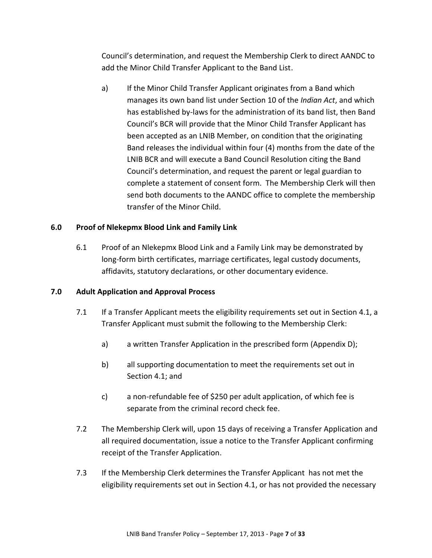Council's determination, and request the Membership Clerk to direct AANDC to add the Minor Child Transfer Applicant to the Band List.

a) If the Minor Child Transfer Applicant originates from a Band which manages its own band list under Section 10 of the *Indian Act*, and which has established by-laws for the administration of its band list, then Band Council's BCR will provide that the Minor Child Transfer Applicant has been accepted as an LNIB Member, on condition that the originating Band releases the individual within four (4) months from the date of the LNIB BCR and will execute a Band Council Resolution citing the Band Council's determination, and request the parent or legal guardian to complete a statement of consent form. The Membership Clerk will then send both documents to the AANDC office to complete the membership transfer of the Minor Child.

#### <span id="page-8-0"></span>**6.0 Proof of Nlekepmx Blood Link and Family Link**

6.1 Proof of an Nlekepmx Blood Link and a Family Link may be demonstrated by long-form birth certificates, marriage certificates, legal custody documents, affidavits, statutory declarations, or other documentary evidence.

#### <span id="page-8-2"></span><span id="page-8-1"></span>**7.0 Adult Application and Approval Process**

- 7.1 If a Transfer Applicant meets the eligibility requirements set out in Section [4.1,](#page-5-3) a Transfer Applicant must submit the following to the Membership Clerk:
	- a) a written Transfer Application in the prescribed form (Appendix D);
	- b) all supporting documentation to meet the requirements set out in Sectio[n 4.1;](#page-5-3) and
	- c) a non-refundable fee of \$250 per adult application, of which fee is separate from the criminal record check fee.
- 7.2 The Membership Clerk will, upon 15 days of receiving a Transfer Application and all required documentation, issue a notice to the Transfer Applicant confirming receipt of the Transfer Application.
- <span id="page-8-3"></span>7.3 If the Membership Clerk determines the Transfer Applicant has not met the eligibility requirements set out in Section [4.1,](#page-5-3) or has not provided the necessary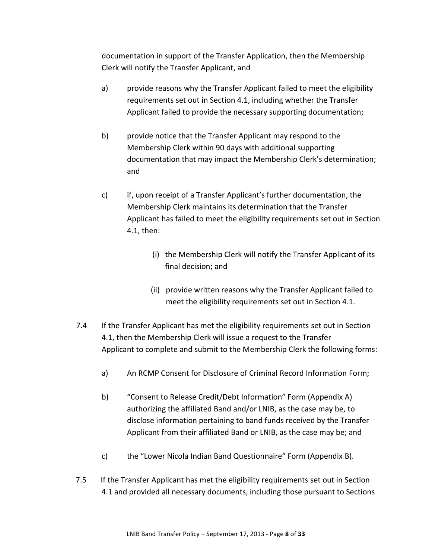documentation in support of the Transfer Application, then the Membership Clerk will notify the Transfer Applicant, and

- a) provide reasons why the Transfer Applicant failed to meet the eligibility requirements set out in Section [4.1,](#page-5-3) including whether the Transfer Applicant failed to provide the necessary supporting documentation;
- b) provide notice that the Transfer Applicant may respond to the Membership Clerk within 90 days with additional supporting documentation that may impact the Membership Clerk's determination; and
- c) if, upon receipt of a Transfer Applicant's further documentation, the Membership Clerk maintains its determination that the Transfer Applicant has failed to meet the eligibility requirements set out in Section [4.1,](#page-5-3) then:
	- (i) the Membership Clerk will notify the Transfer Applicant of its final decision; and
	- (ii) provide written reasons why the Transfer Applicant failed to meet the eligibility requirements set out in Section 4.1.
- <span id="page-9-1"></span><span id="page-9-0"></span>7.4 If the Transfer Applicant has met the eligibility requirements set out in Section [4.1,](#page-5-3) then the Membership Clerk will issue a request to the Transfer Applicant to complete and submit to the Membership Clerk the following forms:
	- a) An RCMP Consent for Disclosure of Criminal Record Information Form;
	- b) "Consent to Release Credit/Debt Information" Form (Appendix A) authorizing the affiliated Band and/or LNIB, as the case may be, to disclose information pertaining to band funds received by the Transfer Applicant from their affiliated Band or LNIB, as the case may be; and
	- c) the "Lower Nicola Indian Band Questionnaire" Form (Appendix B).
- 7.5 If the Transfer Applicant has met the eligibility requirements set out in Section [4.1](#page-5-3) and provided all necessary documents, including those pursuant to Sections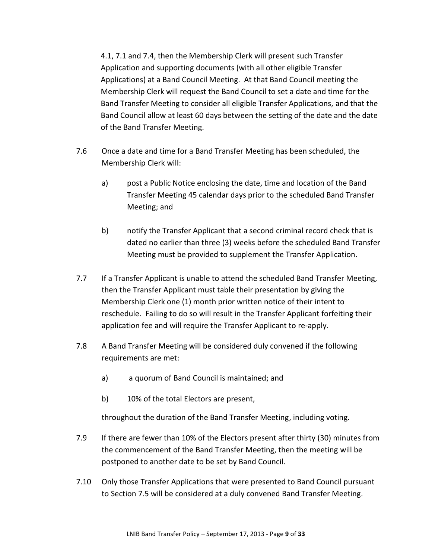4.1, 7.1 and 7.4, then the Membership Clerk will present such Transfer Application and supporting documents (with all other eligible Transfer Applications) at a Band Council Meeting. At that Band Council meeting the Membership Clerk will request the Band Council to set a date and time for the Band Transfer Meeting to consider all eligible Transfer Applications, and that the Band Council allow at least 60 days between the setting of the date and the date of the Band Transfer Meeting.

- 7.6 Once a date and time for a Band Transfer Meeting has been scheduled, the Membership Clerk will:
	- a) post a Public Notice enclosing the date, time and location of the Band Transfer Meeting 45 calendar days prior to the scheduled Band Transfer Meeting; and
	- b) notify the Transfer Applicant that a second criminal record check that is dated no earlier than three (3) weeks before the scheduled Band Transfer Meeting must be provided to supplement the Transfer Application.
- 7.7 If a Transfer Applicant is unable to attend the scheduled Band Transfer Meeting, then the Transfer Applicant must table their presentation by giving the Membership Clerk one (1) month prior written notice of their intent to reschedule. Failing to do so will result in the Transfer Applicant forfeiting their application fee and will require the Transfer Applicant to re-apply.
- 7.8 A Band Transfer Meeting will be considered duly convened if the following requirements are met:
	- a) a quorum of Band Council is maintained; and
	- b) 10% of the total Electors are present,

throughout the duration of the Band Transfer Meeting, including voting.

- 7.9 If there are fewer than 10% of the Electors present after thirty (30) minutes from the commencement of the Band Transfer Meeting, then the meeting will be postponed to another date to be set by Band Council.
- 7.10 Only those Transfer Applications that were presented to Band Council pursuant to Section 7.5 will be considered at a duly convened Band Transfer Meeting.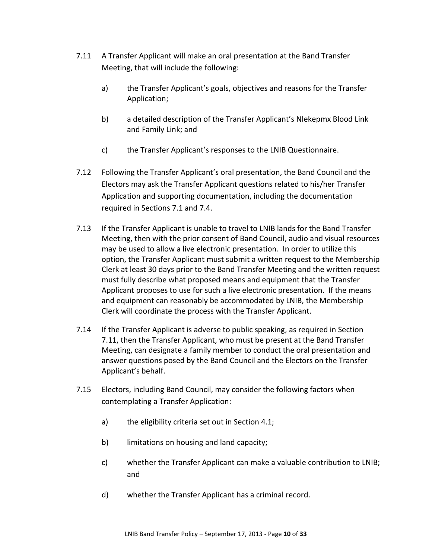- <span id="page-11-0"></span>7.11 A Transfer Applicant will make an oral presentation at the Band Transfer Meeting, that will include the following:
	- a) the Transfer Applicant's goals, objectives and reasons for the Transfer Application;
	- b) a detailed description of the Transfer Applicant's Nlekepmx Blood Link and Family Link; and
	- c) the Transfer Applicant's responses to the LNIB Questionnaire.
- <span id="page-11-1"></span>7.12 Following the Transfer Applicant's oral presentation, the Band Council and the Electors may ask the Transfer Applicant questions related to his/her Transfer Application and supporting documentation, including the documentation required in Sections [7.1](#page-8-2) and [7.4.](#page-9-0)
- 7.13 If the Transfer Applicant is unable to travel to LNIB lands for the Band Transfer Meeting, then with the prior consent of Band Council, audio and visual resources may be used to allow a live electronic presentation. In order to utilize this option, the Transfer Applicant must submit a written request to the Membership Clerk at least 30 days prior to the Band Transfer Meeting and the written request must fully describe what proposed means and equipment that the Transfer Applicant proposes to use for such a live electronic presentation. If the means and equipment can reasonably be accommodated by LNIB, the Membership Clerk will coordinate the process with the Transfer Applicant.
- 7.14 If the Transfer Applicant is adverse to public speaking, as required in Section [7.11,](#page-11-0) then the Transfer Applicant, who must be present at the Band Transfer Meeting, can designate a family member to conduct the oral presentation and answer questions posed by the Band Council and the Electors on the Transfer Applicant's behalf.
- 7.15 Electors, including Band Council, may consider the following factors when contemplating a Transfer Application:
	- a) the eligibility criteria set out in Section 4.1;
	- b) limitations on housing and land capacity;
	- c) whether the Transfer Applicant can make a valuable contribution to LNIB; and
	- d) whether the Transfer Applicant has a criminal record.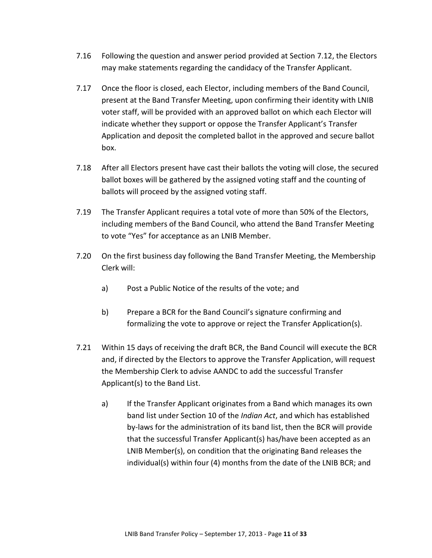- 7.16 Following the question and answer period provided at Section [7.12,](#page-11-1) the Electors may make statements regarding the candidacy of the Transfer Applicant.
- 7.17 Once the floor is closed, each Elector, including members of the Band Council, present at the Band Transfer Meeting, upon confirming their identity with LNIB voter staff, will be provided with an approved ballot on which each Elector will indicate whether they support or oppose the Transfer Applicant's Transfer Application and deposit the completed ballot in the approved and secure ballot box.
- 7.18 After all Electors present have cast their ballots the voting will close, the secured ballot boxes will be gathered by the assigned voting staff and the counting of ballots will proceed by the assigned voting staff.
- 7.19 The Transfer Applicant requires a total vote of more than 50% of the Electors, including members of the Band Council, who attend the Band Transfer Meeting to vote "Yes" for acceptance as an LNIB Member.
- 7.20 On the first business day following the Band Transfer Meeting, the Membership Clerk will:
	- a) Post a Public Notice of the results of the vote; and
	- b) Prepare a BCR for the Band Council's signature confirming and formalizing the vote to approve or reject the Transfer Application(s).
- 7.21 Within 15 days of receiving the draft BCR, the Band Council will execute the BCR and, if directed by the Electors to approve the Transfer Application, will request the Membership Clerk to advise AANDC to add the successful Transfer Applicant(s) to the Band List.
	- a) If the Transfer Applicant originates from a Band which manages its own band list under Section 10 of the *Indian Act*, and which has established by-laws for the administration of its band list, then the BCR will provide that the successful Transfer Applicant(s) has/have been accepted as an LNIB Member(s), on condition that the originating Band releases the individual(s) within four (4) months from the date of the LNIB BCR; and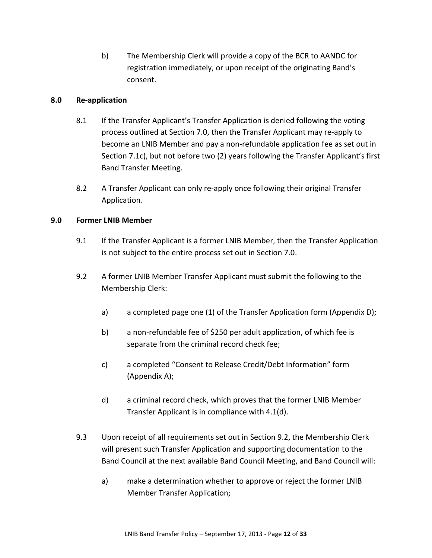b) The Membership Clerk will provide a copy of the BCR to AANDC for registration immediately, or upon receipt of the originating Band's consent.

#### <span id="page-13-3"></span><span id="page-13-0"></span>**8.0 Re-application**

- 8.1 If the Transfer Applicant's Transfer Application is denied following the voting process outlined at Section 7.0, then the Transfer Applicant may re-apply to become an LNIB Member and pay a non-refundable application fee as set out in Section 7.1c), but not before two (2) years following the Transfer Applicant's first Band Transfer Meeting.
- 8.2 A Transfer Applicant can only re-apply once following their original Transfer Application.

#### <span id="page-13-1"></span>**9.0 Former LNIB Member**

- 9.1 If the Transfer Applicant is a former LNIB Member, then the Transfer Application is not subject to the entire process set out in Section 7.0.
- <span id="page-13-2"></span>9.2 A former LNIB Member Transfer Applicant must submit the following to the Membership Clerk:
	- a) a completed page one (1) of the Transfer Application form (Appendix D);
	- b) a non-refundable fee of \$250 per adult application, of which fee is separate from the criminal record check fee;
	- c) a completed "Consent to Release Credit/Debt Information" form (Appendix A);
	- d) a criminal record check, which proves that the former LNIB Member Transfer Applicant is in compliance with 4.1(d).
- 9.3 Upon receipt of all requirements set out in Section [9.2,](#page-13-2) the Membership Clerk will present such Transfer Application and supporting documentation to the Band Council at the next available Band Council Meeting, and Band Council will:
	- a) make a determination whether to approve or reject the former LNIB Member Transfer Application;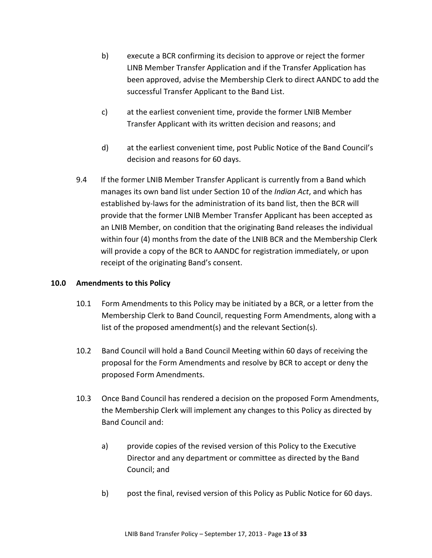- b) execute a BCR confirming its decision to approve or reject the former LINB Member Transfer Application and if the Transfer Application has been approved, advise the Membership Clerk to direct AANDC to add the successful Transfer Applicant to the Band List.
- c) at the earliest convenient time, provide the former LNIB Member Transfer Applicant with its written decision and reasons; and
- d) at the earliest convenient time, post Public Notice of the Band Council's decision and reasons for 60 days.
- 9.4 If the former LNIB Member Transfer Applicant is currently from a Band which manages its own band list under Section 10 of the *Indian Act*, and which has established by-laws for the administration of its band list, then the BCR will provide that the former LNIB Member Transfer Applicant has been accepted as an LNIB Member, on condition that the originating Band releases the individual within four (4) months from the date of the LNIB BCR and the Membership Clerk will provide a copy of the BCR to AANDC for registration immediately, or upon receipt of the originating Band's consent.

#### <span id="page-14-0"></span>**10.0 Amendments to this Policy**

- 10.1 Form Amendments to this Policy may be initiated by a BCR, or a letter from the Membership Clerk to Band Council, requesting Form Amendments, along with a list of the proposed amendment(s) and the relevant Section(s).
- 10.2 Band Council will hold a Band Council Meeting within 60 days of receiving the proposal for the Form Amendments and resolve by BCR to accept or deny the proposed Form Amendments.
- 10.3 Once Band Council has rendered a decision on the proposed Form Amendments, the Membership Clerk will implement any changes to this Policy as directed by Band Council and:
	- a) provide copies of the revised version of this Policy to the Executive Director and any department or committee as directed by the Band Council; and
	- b) post the final, revised version of this Policy as Public Notice for 60 days.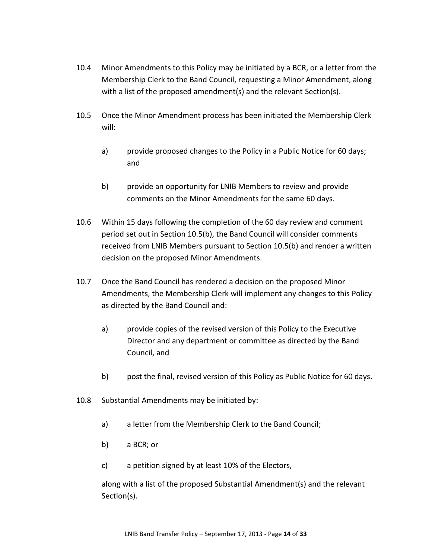- 10.4 Minor Amendments to this Policy may be initiated by a BCR, or a letter from the Membership Clerk to the Band Council, requesting a Minor Amendment, along with a list of the proposed amendment(s) and the relevant Section(s).
- <span id="page-15-0"></span>10.5 Once the Minor Amendment process has been initiated the Membership Clerk will:
	- a) provide proposed changes to the Policy in a Public Notice for 60 days; and
	- b) provide an opportunity for LNIB Members to review and provide comments on the Minor Amendments for the same 60 days.
- <span id="page-15-1"></span>10.6 Within 15 days following the completion of the 60 day review and comment period set out in Section [10.5](#page-15-0)[\(b\),](#page-15-1) the Band Council will consider comments received from LNIB Members pursuant to Section [10.5](#page-15-0)[\(b\)](#page-15-1) and render a written decision on the proposed Minor Amendments.
- 10.7 Once the Band Council has rendered a decision on the proposed Minor Amendments, the Membership Clerk will implement any changes to this Policy as directed by the Band Council and:
	- a) provide copies of the revised version of this Policy to the Executive Director and any department or committee as directed by the Band Council, and
	- b) post the final, revised version of this Policy as Public Notice for 60 days.
- 10.8 Substantial Amendments may be initiated by:
	- a) a letter from the Membership Clerk to the Band Council;
	- b) a BCR; or
	- c) a petition signed by at least 10% of the Electors,

 along with a list of the proposed Substantial Amendment(s) and the relevant Section(s).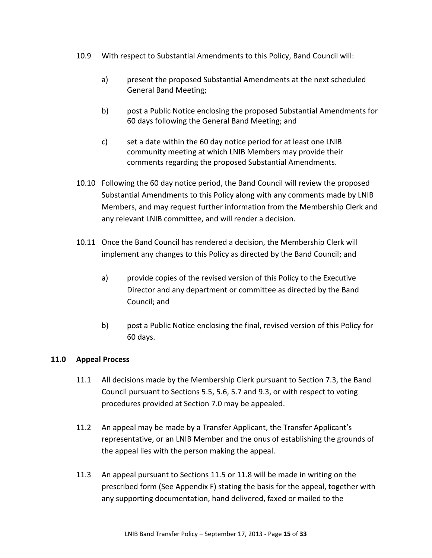- 10.9 With respect to Substantial Amendments to this Policy, Band Council will:
	- a) present the proposed Substantial Amendments at the next scheduled General Band Meeting;
	- b) post a Public Notice enclosing the proposed Substantial Amendments for 60 days following the General Band Meeting; and
	- c) set a date within the 60 day notice period for at least one LNIB community meeting at which LNIB Members may provide their comments regarding the proposed Substantial Amendments.
- 10.10 Following the 60 day notice period, the Band Council will review the proposed Substantial Amendments to this Policy along with any comments made by LNIB Members, and may request further information from the Membership Clerk and any relevant LNIB committee, and will render a decision.
- 10.11 Once the Band Council has rendered a decision, the Membership Clerk will implement any changes to this Policy as directed by the Band Council; and
	- a) provide copies of the revised version of this Policy to the Executive Director and any department or committee as directed by the Band Council; and
	- b) post a Public Notice enclosing the final, revised version of this Policy for 60 days.

#### <span id="page-16-0"></span>**11.0 Appeal Process**

- 11.1 All decisions made by the Membership Clerk pursuant to Section 7.3, the Band Council pursuant to Sections 5.5, 5.6, 5.7 and 9.3, or with respect to voting procedures provided at Section 7.0 may be appealed.
- 11.2 An appeal may be made by a Transfer Applicant, the Transfer Applicant's representative, or an LNIB Member and the onus of establishing the grounds of the appeal lies with the person making the appeal.
- <span id="page-16-1"></span>11.3 An appeal pursuant to Section[s 11.5](#page-17-0) o[r 11.8](#page-17-1) will be made in writing on the prescribed form (See Appendix F) stating the basis for the appeal, together with any supporting documentation, hand delivered, faxed or mailed to the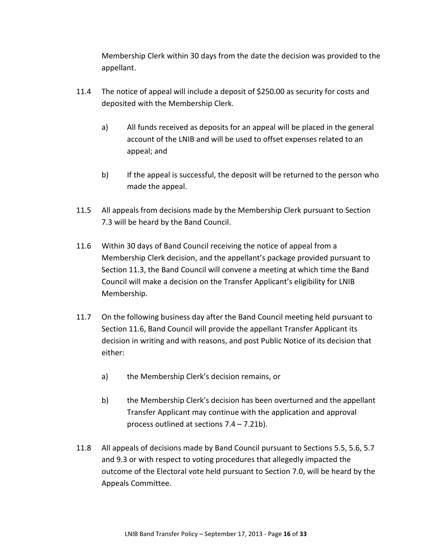Membership Clerk within 30 days from the date the decision was provided to the appellant.

- 11.4 The notice of appeal will include a deposit of \$250.00 as security for costs and deposited with the Membership Clerk.
	- a) All funds received as deposits for an appeal will be placed in the general account of the LNIB and will be used to offset expenses related to an appeal; and
	- b) If the appeal is successful, the deposit will be returned to the person who made the appeal.
- <span id="page-17-0"></span>11.5 All appeals from decisions made by the Membership Clerk pursuant to Section [7.3](#page-8-3) will be heard by the Band Council.
- <span id="page-17-2"></span>11.6 Within 30 days of Band Council receiving the notice of appeal from a Membership Clerk decision, and the appellant's package provided pursuant to Section [11.3,](#page-16-1) the Band Council will convene a meeting at which time the Band Council will make a decision on the Transfer Applicant's eligibility for LNIB Membership.
- 11.7 On the following business day after the Band Council meeting held pursuant to Section [11.6,](#page-17-2) Band Council will provide the appellant Transfer Applicant its decision in writing and with reasons, and post Public Notice of its decision that either:
	- a) the Membership Clerk's decision remains, or
	- b) the Membership Clerk's decision has been overturned and the appellant Transfer Applicant may continue with the application and approval process outlined at sections [7.4](#page-9-1) – [7.21b\).](#page-13-3)
- <span id="page-17-1"></span>11.8 All appeals of decisions made by Band Council pursuant to Sections 5.5, 5.6, 5.7 and 9.3 or with respect to voting procedures that allegedly impacted the outcome of the Electoral vote held pursuant to Section 7.0, will be heard by the Appeals Committee.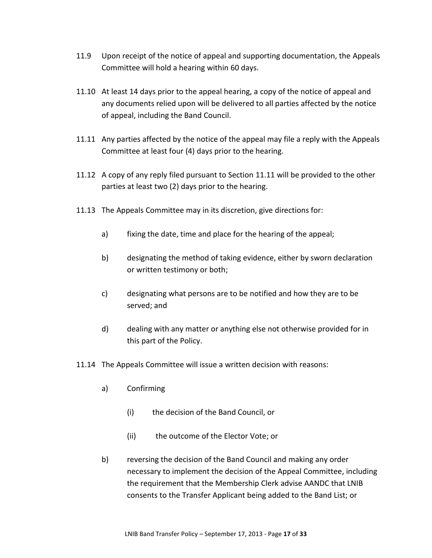- 11.9 Upon receipt of the notice of appeal and supporting documentation, the Appeals Committee will hold a hearing within 60 days.
- 11.10 At least 14 days prior to the appeal hearing, a copy of the notice of appeal and any documents relied upon will be delivered to all parties affected by the notice of appeal, including the Band Council.
- <span id="page-18-0"></span>11.11 Any parties affected by the notice of the appeal may file a reply with the Appeals Committee at least four (4) days prior to the hearing.
- 11.12 A copy of any reply filed pursuant to Section [11.11](#page-18-0) will be provided to the other parties at least two (2) days prior to the hearing.
- 11.13 The Appeals Committee may in its discretion, give directions for:
	- a) fixing the date, time and place for the hearing of the appeal;
	- b) designating the method of taking evidence, either by sworn declaration or written testimony or both;
	- c) designating what persons are to be notified and how they are to be served; and
	- d) dealing with any matter or anything else not otherwise provided for in this part of the Policy.
- 11.14 The Appeals Committee will issue a written decision with reasons:
	- a) Confirming
		- (i) the decision of the Band Council, or
		- (ii) the outcome of the Elector Vote; or
	- b) reversing the decision of the Band Council and making any order necessary to implement the decision of the Appeal Committee, including the requirement that the Membership Clerk advise AANDC that LNIB consents to the Transfer Applicant being added to the Band List; or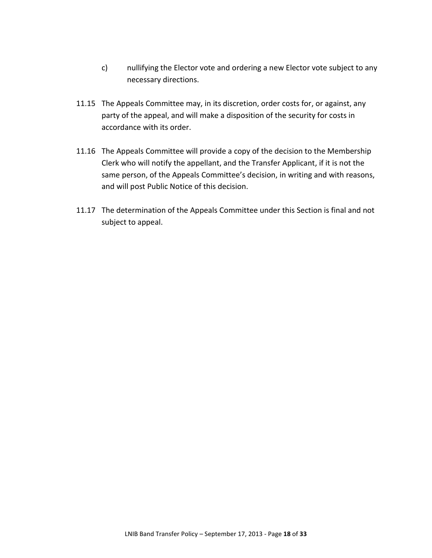- c) nullifying the Elector vote and ordering a new Elector vote subject to any necessary directions.
- 11.15 The Appeals Committee may, in its discretion, order costs for, or against, any party of the appeal, and will make a disposition of the security for costs in accordance with its order.
- 11.16 The Appeals Committee will provide a copy of the decision to the Membership Clerk who will notify the appellant, and the Transfer Applicant, if it is not the same person, of the Appeals Committee's decision, in writing and with reasons, and will post Public Notice of this decision.
- 11.17 The determination of the Appeals Committee under this Section is final and not subject to appeal.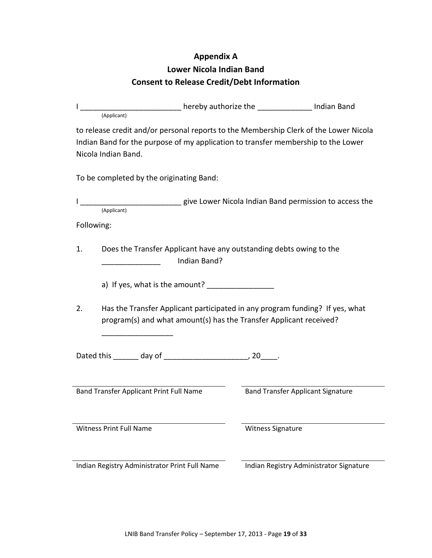### **Appendix A**

## **Lower Nicola Indian Band Consent to Release Credit/Debt Information**

<span id="page-20-0"></span>

|    | Land and the contract of the term and the term and the sense in the sense of the sense of the sense in the sen<br>(Applicant)                                                                     |                                          |  |
|----|---------------------------------------------------------------------------------------------------------------------------------------------------------------------------------------------------|------------------------------------------|--|
|    | to release credit and/or personal reports to the Membership Clerk of the Lower Nicola<br>Indian Band for the purpose of my application to transfer membership to the Lower<br>Nicola Indian Band. |                                          |  |
|    | To be completed by the originating Band:                                                                                                                                                          |                                          |  |
|    | (Applicant) give Lower Nicola Indian Band permission to access the (Applicant)                                                                                                                    |                                          |  |
|    | Following:                                                                                                                                                                                        |                                          |  |
| 1. | Does the Transfer Applicant have any outstanding debts owing to the<br>Indian Band?                                                                                                               |                                          |  |
|    |                                                                                                                                                                                                   |                                          |  |
| 2. | Has the Transfer Applicant participated in any program funding? If yes, what<br>program(s) and what amount(s) has the Transfer Applicant received?                                                |                                          |  |
|    |                                                                                                                                                                                                   |                                          |  |
|    | Band Transfer Applicant Print Full Name                                                                                                                                                           | <b>Band Transfer Applicant Signature</b> |  |
|    | <b>Witness Print Full Name</b>                                                                                                                                                                    | <b>Witness Signature</b>                 |  |
|    | Indian Registry Administrator Print Full Name                                                                                                                                                     | Indian Registry Administrator Signature  |  |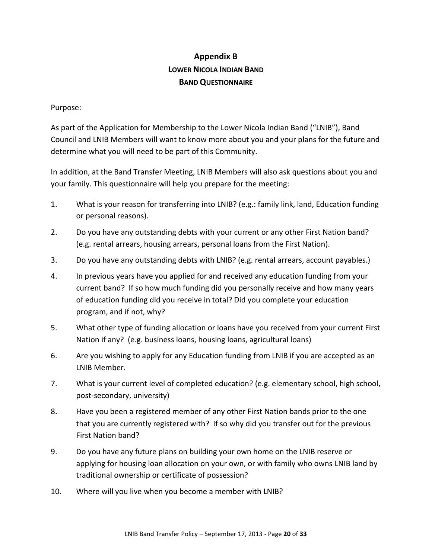# **Appendix B LOWER NICOLA INDIAN BAND BAND QUESTIONNAIRE**

#### <span id="page-21-0"></span>Purpose:

As part of the Application for Membership to the Lower Nicola Indian Band ("LNIB"), Band Council and LNIB Members will want to know more about you and your plans for the future and determine what you will need to be part of this Community.

In addition, at the Band Transfer Meeting, LNIB Members will also ask questions about you and your family. This questionnaire will help you prepare for the meeting:

- 1. What is your reason for transferring into LNIB? (e.g.: family link, land, Education funding or personal reasons).
- 2. Do you have any outstanding debts with your current or any other First Nation band? (e.g. rental arrears, housing arrears, personal loans from the First Nation).
- 3. Do you have any outstanding debts with LNIB? (e.g. rental arrears, account payables.)
- 4. In previous years have you applied for and received any education funding from your current band? If so how much funding did you personally receive and how many years of education funding did you receive in total? Did you complete your education program, and if not, why?
- 5. What other type of funding allocation or loans have you received from your current First Nation if any? (e.g. business loans, housing loans, agricultural loans)
- 6. Are you wishing to apply for any Education funding from LNIB if you are accepted as an LNIB Member.
- 7. What is your current level of completed education? (e.g. elementary school, high school, post-secondary, university)
- 8. Have you been a registered member of any other First Nation bands prior to the one that you are currently registered with? If so why did you transfer out for the previous First Nation band?
- 9. Do you have any future plans on building your own home on the LNIB reserve or applying for housing loan allocation on your own, or with family who owns LNIB land by traditional ownership or certificate of possession?
- 10. Where will you live when you become a member with LNIB?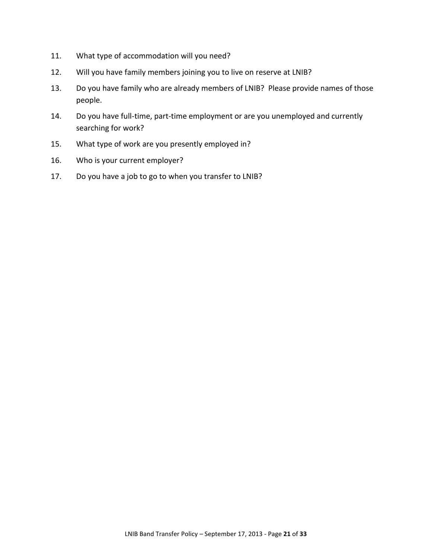- 11. What type of accommodation will you need?
- 12. Will you have family members joining you to live on reserve at LNIB?
- 13. Do you have family who are already members of LNIB? Please provide names of those people.
- 14. Do you have full-time, part-time employment or are you unemployed and currently searching for work?
- 15. What type of work are you presently employed in?
- 16. Who is your current employer?
- 17. Do you have a job to go to when you transfer to LNIB?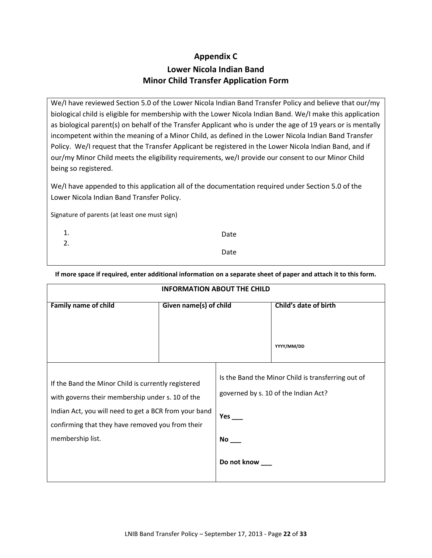### **Appendix C Lower Nicola Indian Band Minor Child Transfer Application Form**

<span id="page-23-0"></span>We/I have reviewed Section 5.0 of the Lower Nicola Indian Band Transfer Policy and believe that our/my biological child is eligible for membership with the Lower Nicola Indian Band. We/I make this application as biological parent(s) on behalf of the Transfer Applicant who is under the age of 19 years or is mentally incompetent within the meaning of a Minor Child, as defined in the Lower Nicola Indian Band Transfer Policy. We/I request that the Transfer Applicant be registered in the Lower Nicola Indian Band, and if our/my Minor Child meets the eligibility requirements, we/I provide our consent to our Minor Child being so registered.

We/I have appended to this application all of the documentation required under Section 5.0 of the Lower Nicola Indian Band Transfer Policy.

Signature of parents (at least one must sign)

| 1. | Date |
|----|------|
| 2. | Date |
|    |      |

**If more space if required, enter additional information on a separate sheet of paper and attach it to this form.**

| <b>INFORMATION ABOUT THE CHILD</b>                    |                        |                                                    |                       |  |
|-------------------------------------------------------|------------------------|----------------------------------------------------|-----------------------|--|
| <b>Family name of child</b>                           | Given name(s) of child |                                                    | Child's date of birth |  |
|                                                       |                        |                                                    |                       |  |
|                                                       |                        |                                                    |                       |  |
|                                                       |                        |                                                    | YYYY/MM/DD            |  |
|                                                       |                        |                                                    |                       |  |
| If the Band the Minor Child is currently registered   |                        | Is the Band the Minor Child is transferring out of |                       |  |
| with governs their membership under s. 10 of the      |                        | governed by s. 10 of the Indian Act?               |                       |  |
| Indian Act, you will need to get a BCR from your band |                        | Yes $\_\_$                                         |                       |  |
| confirming that they have removed you from their      |                        |                                                    |                       |  |
| membership list.                                      |                        | No                                                 |                       |  |
|                                                       |                        | Do not know                                        |                       |  |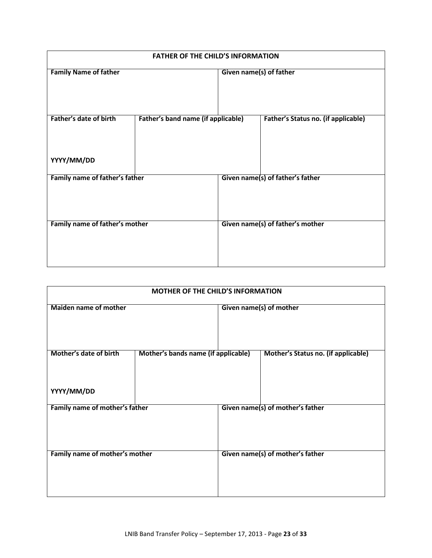|                                      | <b>FATHER OF THE CHILD'S INFORMATION</b> |                         |                                            |  |
|--------------------------------------|------------------------------------------|-------------------------|--------------------------------------------|--|
| <b>Family Name of father</b>         |                                          | Given name(s) of father |                                            |  |
| Father's date of birth<br>YYYY/MM/DD | Father's band name (if applicable)       |                         | <b>Father's Status no. (if applicable)</b> |  |
|                                      |                                          |                         |                                            |  |
| Family name of father's father       |                                          |                         | Given name(s) of father's father           |  |
| Family name of father's mother       |                                          |                         | Given name(s) of father's mother           |  |

| <b>MOTHER OF THE CHILD'S INFORMATION</b> |                                     |                         |                                     |
|------------------------------------------|-------------------------------------|-------------------------|-------------------------------------|
| <b>Maiden name of mother</b>             |                                     | Given name(s) of mother |                                     |
| Mother's date of birth<br>YYYY/MM/DD     | Mother's bands name (if applicable) |                         | Mother's Status no. (if applicable) |
| Family name of mother's father           |                                     |                         | Given name(s) of mother's father    |
| Family name of mother's mother           |                                     |                         | Given name(s) of mother's father    |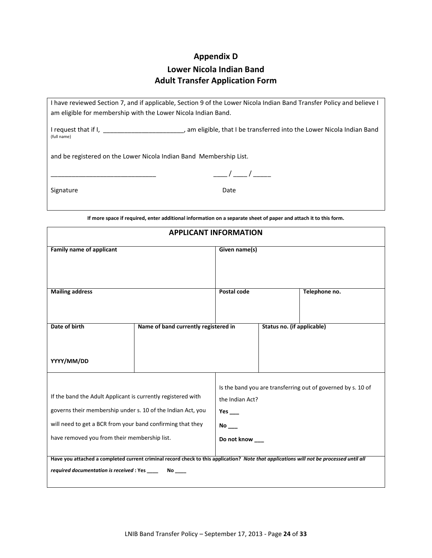#### **Appendix D**

### **Lower Nicola Indian Band Adult Transfer Application Form**

<span id="page-25-0"></span>I have reviewed Section 7, and if applicable, Section 9 of the Lower Nicola Indian Band Transfer Policy and believe I am eligible for membership with the Lower Nicola Indian Band.

I request that if I, \_\_\_\_\_\_\_\_\_\_\_\_\_\_\_\_\_\_\_\_\_\_\_, am eligible, that I be transferred into the Lower Nicola Indian Band (full name)

and be registered on the Lower Nicola Indian Band Membership List.

 $\frac{1}{2}$  /  $\frac{1}{2}$  /  $\frac{1}{2}$ 

Signature Date Date

**If more space if required, enter additional information on a separate sheet of paper and attach it to this form.**

| <b>APPLICANT INFORMATION</b>                                                                                                                                                                                                                                                                                                                                                         |                                      |                                                    |                            |                                                              |
|--------------------------------------------------------------------------------------------------------------------------------------------------------------------------------------------------------------------------------------------------------------------------------------------------------------------------------------------------------------------------------------|--------------------------------------|----------------------------------------------------|----------------------------|--------------------------------------------------------------|
| <b>Family name of applicant</b>                                                                                                                                                                                                                                                                                                                                                      |                                      | Given name(s)                                      |                            |                                                              |
| <b>Mailing address</b>                                                                                                                                                                                                                                                                                                                                                               |                                      | Postal code                                        |                            | Telephone no.                                                |
| Date of birth                                                                                                                                                                                                                                                                                                                                                                        | Name of band currently registered in |                                                    | Status no. (if applicable) |                                                              |
| YYYY/MM/DD                                                                                                                                                                                                                                                                                                                                                                           |                                      |                                                    |                            |                                                              |
| If the band the Adult Applicant is currently registered with<br>governs their membership under s. 10 of the Indian Act, you<br>will need to get a BCR from your band confirming that they<br>have removed you from their membership list.<br>Have you attached a completed current criminal record check to this application? Note that applications will not be processed until all |                                      | the Indian Act?<br>Yes<br><b>No</b><br>Do not know |                            | Is the band you are transferring out of governed by s. 10 of |
| required documentation is received : Yes ____                                                                                                                                                                                                                                                                                                                                        |                                      |                                                    |                            |                                                              |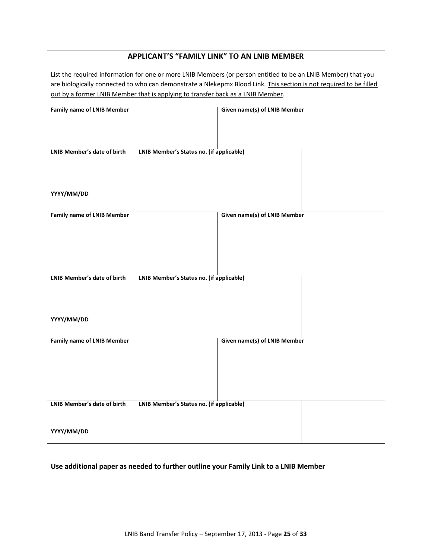|  |  |  | <b>APPLICANT'S "FAMILY LINK" TO AN LNIB MEMBER</b> |
|--|--|--|----------------------------------------------------|
|--|--|--|----------------------------------------------------|

List the required information for one or more LNIB Members (or person entitled to be an LNIB Member) that you are biologically connected to who can demonstrate a Nlekepmx Blood Link. This section is not required to be filled out by a former LNIB Member that is applying to transfer back as a LNIB Member.

| <b>Family name of LNIB Member</b>  |                                          | Given name(s) of LNIB Member |  |
|------------------------------------|------------------------------------------|------------------------------|--|
|                                    |                                          |                              |  |
|                                    |                                          |                              |  |
|                                    |                                          |                              |  |
|                                    |                                          |                              |  |
|                                    |                                          |                              |  |
| <b>LNIB Member's date of birth</b> | LNIB Member's Status no. (if applicable) |                              |  |
|                                    |                                          |                              |  |
|                                    |                                          |                              |  |
|                                    |                                          |                              |  |
|                                    |                                          |                              |  |
|                                    |                                          |                              |  |
| YYYY/MM/DD                         |                                          |                              |  |
|                                    |                                          |                              |  |
|                                    |                                          |                              |  |
| <b>Family name of LNIB Member</b>  |                                          | Given name(s) of LNIB Member |  |
|                                    |                                          |                              |  |
|                                    |                                          |                              |  |
|                                    |                                          |                              |  |
|                                    |                                          |                              |  |
|                                    |                                          |                              |  |
|                                    |                                          |                              |  |
|                                    |                                          |                              |  |
|                                    |                                          |                              |  |
| <b>LNIB Member's date of birth</b> | LNIB Member's Status no. (if applicable) |                              |  |
|                                    |                                          |                              |  |
|                                    |                                          |                              |  |
|                                    |                                          |                              |  |
|                                    |                                          |                              |  |
|                                    |                                          |                              |  |
| YYYY/MM/DD                         |                                          |                              |  |
|                                    |                                          |                              |  |
|                                    |                                          |                              |  |
| <b>Family name of LNIB Member</b>  |                                          | Given name(s) of LNIB Member |  |
|                                    |                                          |                              |  |
|                                    |                                          |                              |  |
|                                    |                                          |                              |  |
|                                    |                                          |                              |  |
|                                    |                                          |                              |  |
|                                    |                                          |                              |  |
|                                    |                                          |                              |  |
|                                    |                                          |                              |  |
| <b>LNIB Member's date of birth</b> | LNIB Member's Status no. (if applicable) |                              |  |
|                                    |                                          |                              |  |
|                                    |                                          |                              |  |
|                                    |                                          |                              |  |
| YYYY/MM/DD                         |                                          |                              |  |
|                                    |                                          |                              |  |

#### **Use additional paper as needed to further outline your Family Link to a LNIB Member**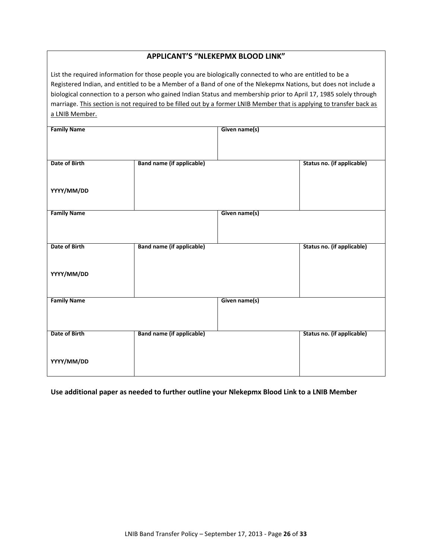| a LNIB Member.<br><b>Family Name</b> | List the required information for those people you are biologically connected to who are entitled to be a<br>Registered Indian, and entitled to be a Member of a Band of one of the Nlekepmx Nations, but does not include a<br>biological connection to a person who gained Indian Status and membership prior to April 17, 1985 solely through<br>marriage. This section is not required to be filled out by a former LNIB Member that is applying to transfer back as | Given name(s) |                            |
|--------------------------------------|--------------------------------------------------------------------------------------------------------------------------------------------------------------------------------------------------------------------------------------------------------------------------------------------------------------------------------------------------------------------------------------------------------------------------------------------------------------------------|---------------|----------------------------|
|                                      |                                                                                                                                                                                                                                                                                                                                                                                                                                                                          |               |                            |
| Date of Birth                        | <b>Band name (if applicable)</b>                                                                                                                                                                                                                                                                                                                                                                                                                                         |               | Status no. (if applicable) |
| YYYY/MM/DD                           |                                                                                                                                                                                                                                                                                                                                                                                                                                                                          |               |                            |
| <b>Family Name</b>                   |                                                                                                                                                                                                                                                                                                                                                                                                                                                                          | Given name(s) |                            |
| Date of Birth                        | <b>Band name (if applicable)</b>                                                                                                                                                                                                                                                                                                                                                                                                                                         |               | Status no. (if applicable) |
| YYYY/MM/DD                           |                                                                                                                                                                                                                                                                                                                                                                                                                                                                          |               |                            |
| <b>Family Name</b>                   |                                                                                                                                                                                                                                                                                                                                                                                                                                                                          | Given name(s) |                            |
| Date of Birth                        | <b>Band name (if applicable)</b>                                                                                                                                                                                                                                                                                                                                                                                                                                         |               | Status no. (if applicable) |
| YYYY/MM/DD                           |                                                                                                                                                                                                                                                                                                                                                                                                                                                                          |               |                            |

#### **APPLICANT'S "NLEKEPMX BLOOD LINK"**

**Use additional paper as needed to further outline your Nlekepmx Blood Link to a LNIB Member**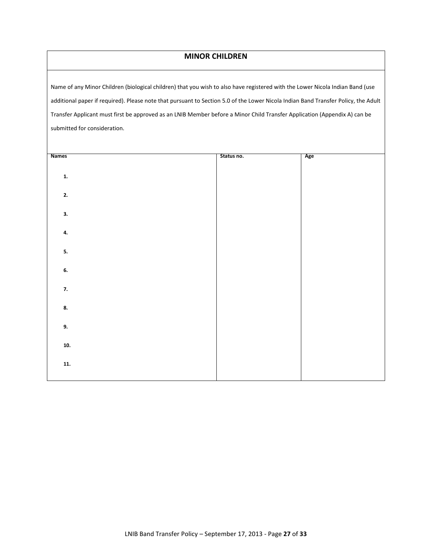#### **MINOR CHILDREN**

Name of any Minor Children (biological children) that you wish to also have registered with the Lower Nicola Indian Band (use additional paper if required). Please note that pursuant to Section 5.0 of the Lower Nicola Indian Band Transfer Policy, the Adult Transfer Applicant must first be approved as an LNIB Member before a Minor Child Transfer Application (Appendix A) can be submitted for consideration.

| <b>Names</b>   | Status no. | Age |
|----------------|------------|-----|
|                |            |     |
| $\mathbf{1}$ . |            |     |
|                |            |     |
| 2.             |            |     |
|                |            |     |
| 3.             |            |     |
|                |            |     |
| 4.             |            |     |
| 5.             |            |     |
|                |            |     |
| 6.             |            |     |
|                |            |     |
| 7.             |            |     |
|                |            |     |
| 8.             |            |     |
|                |            |     |
| 9.             |            |     |
| 10.            |            |     |
|                |            |     |
| 11.            |            |     |
|                |            |     |
|                |            |     |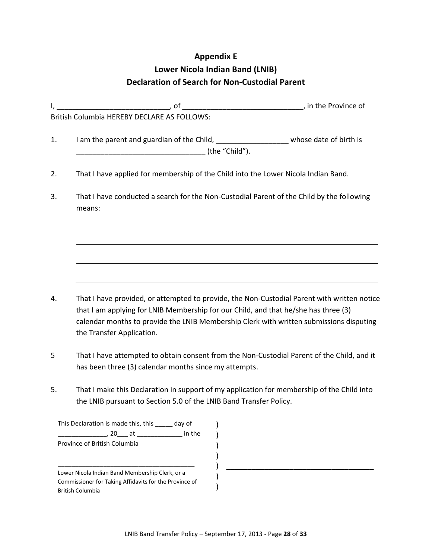#### **Appendix E**

# **Lower Nicola Indian Band (LNIB) Declaration of Search for Non-Custodial Parent**

<span id="page-29-0"></span>

|    | British Columbia HEREBY DECLARE AS FOLLOWS:                                                                   |  |
|----|---------------------------------------------------------------------------------------------------------------|--|
| 1. | I am the parent and guardian of the Child, __________________________whose date of birth is<br>(the "Child"). |  |
| 2. | That I have applied for membership of the Child into the Lower Nicola Indian Band.                            |  |
| 3. | That I have conducted a search for the Non-Custodial Parent of the Child by the following<br>means:           |  |
|    |                                                                                                               |  |
|    |                                                                                                               |  |
|    |                                                                                                               |  |
|    |                                                                                                               |  |

- 4. That I have provided, or attempted to provide, the Non-Custodial Parent with written notice that I am applying for LNIB Membership for our Child, and that he/she has three (3) calendar months to provide the LNIB Membership Clerk with written submissions disputing the Transfer Application.
- 5 That I have attempted to obtain consent from the Non-Custodial Parent of the Child, and it has been three (3) calendar months since my attempts.
- 5. That I make this Declaration in support of my application for membership of the Child into the LNIB pursuant to Section 5.0 of the LNIB Band Transfer Policy.

| day of                                                 |
|--------------------------------------------------------|
| in the                                                 |
|                                                        |
|                                                        |
|                                                        |
| Commissioner for Taking Affidavits for the Province of |
|                                                        |
|                                                        |

**\_\_\_\_\_\_\_\_\_\_\_\_\_\_\_\_\_\_\_\_\_\_\_\_\_\_\_\_\_\_\_\_\_\_\_**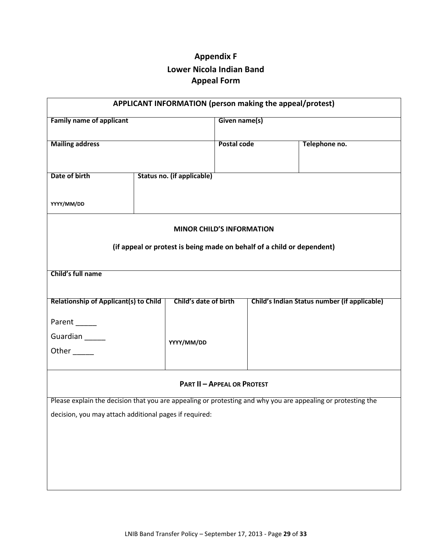# **Appendix F Lower Nicola Indian Band Appeal Form**

<span id="page-30-0"></span>

| APPLICANT INFORMATION (person making the appeal/protest)                                                     |                                   |                       |               |  |                                              |  |
|--------------------------------------------------------------------------------------------------------------|-----------------------------------|-----------------------|---------------|--|----------------------------------------------|--|
| <b>Family name of applicant</b>                                                                              |                                   |                       | Given name(s) |  |                                              |  |
| <b>Mailing address</b>                                                                                       |                                   |                       | Postal code   |  | Telephone no.                                |  |
| Date of birth                                                                                                | <b>Status no. (if applicable)</b> |                       |               |  |                                              |  |
| YYYY/MM/DD                                                                                                   |                                   |                       |               |  |                                              |  |
| <b>MINOR CHILD'S INFORMATION</b>                                                                             |                                   |                       |               |  |                                              |  |
| (if appeal or protest is being made on behalf of a child or dependent)                                       |                                   |                       |               |  |                                              |  |
| Child's full name                                                                                            |                                   |                       |               |  |                                              |  |
|                                                                                                              |                                   |                       |               |  |                                              |  |
| <b>Relationship of Applicant(s) to Child</b>                                                                 |                                   | Child's date of birth |               |  | Child's Indian Status number (if applicable) |  |
| Parent                                                                                                       |                                   |                       |               |  |                                              |  |
| Guardian                                                                                                     |                                   | YYYY/MM/DD            |               |  |                                              |  |
| Other                                                                                                        |                                   |                       |               |  |                                              |  |
| <b>PART II - APPEAL OR PROTEST</b>                                                                           |                                   |                       |               |  |                                              |  |
| Please explain the decision that you are appealing or protesting and why you are appealing or protesting the |                                   |                       |               |  |                                              |  |
| decision, you may attach additional pages if required:                                                       |                                   |                       |               |  |                                              |  |
|                                                                                                              |                                   |                       |               |  |                                              |  |
|                                                                                                              |                                   |                       |               |  |                                              |  |
|                                                                                                              |                                   |                       |               |  |                                              |  |
|                                                                                                              |                                   |                       |               |  |                                              |  |
|                                                                                                              |                                   |                       |               |  |                                              |  |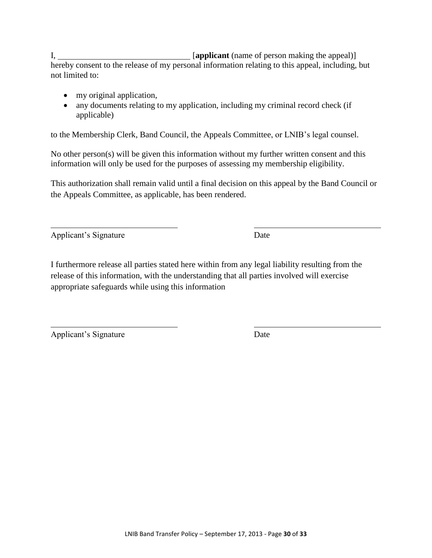I, *I* [applicant (name of person making the appeal)] hereby consent to the release of my personal information relating to this appeal, including, but not limited to:

- my original application,
- any documents relating to my application, including my criminal record check (if applicable)

to the Membership Clerk, Band Council, the Appeals Committee, or LNIB's legal counsel.

No other person(s) will be given this information without my further written consent and this information will only be used for the purposes of assessing my membership eligibility.

This authorization shall remain valid until a final decision on this appeal by the Band Council or the Appeals Committee, as applicable, has been rendered.

Applicant's Signature Date

I furthermore release all parties stated here within from any legal liability resulting from the release of this information, with the understanding that all parties involved will exercise appropriate safeguards while using this information

Applicant's Signature Date